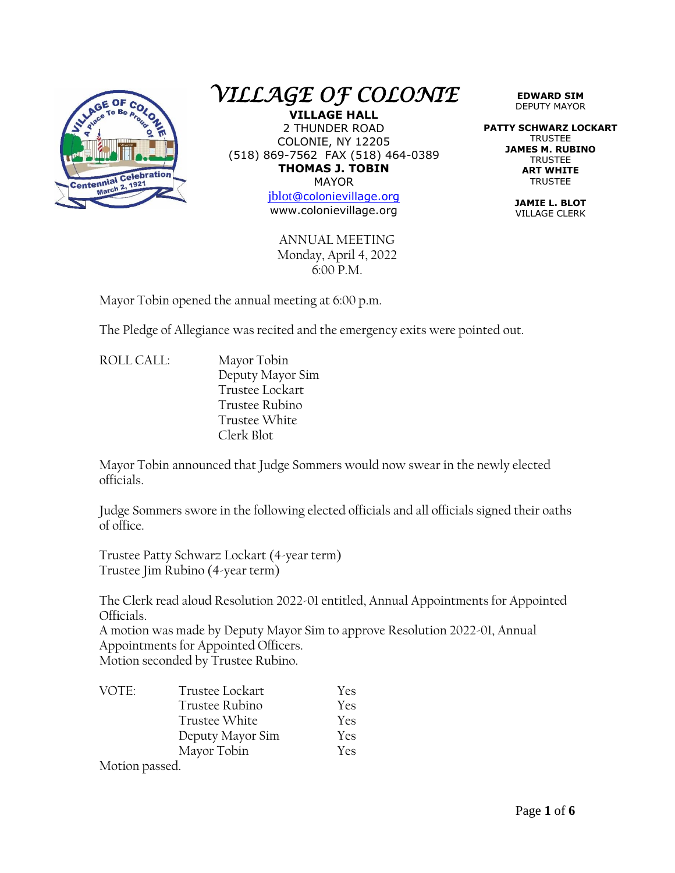

## *VILLAGE OF COLONIE*

**VILLAGE HALL** 2 THUNDER ROAD COLONIE, NY 12205 (518) 869-7562 FAX (518) 464-0389 **THOMAS J. TOBIN** MAYOR

[jblot](mailto:jblot@colonievillage.org)[@colonievillage.org](mailto:jblot@colonievillage.org) www.colonievillage.org

ANNUAL MEETING Monday, April 4, 2022 6:00 P.M.

**EDWARD SIM** DEPUTY MAYOR

**PATTY SCHWARZ LOCKART** TRUSTEE **JAMES M. RUBINO TRUSTEE ART WHITE** TRUSTEE

> **JAMIE L. BLOT** VILLAGE CLERK

Mayor Tobin opened the annual meeting at 6:00 p.m.

The Pledge of Allegiance was recited and the emergency exits were pointed out.

ROLL CALL: Mayor Tobin Deputy Mayor Sim Trustee Lockart Trustee Rubino Trustee White Clerk Blot

Mayor Tobin announced that Judge Sommers would now swear in the newly elected officials.

Judge Sommers swore in the following elected officials and all officials signed their oaths of office.

Trustee Patty Schwarz Lockart (4-year term) Trustee Jim Rubino (4-year term)

The Clerk read aloud Resolution 2022-01 entitled, Annual Appointments for Appointed Officials.

A motion was made by Deputy Mayor Sim to approve Resolution 2022-01, Annual Appointments for Appointed Officers. Motion seconded by Trustee Rubino.

| VOTE: | Trustee Lockart  | Yes        |
|-------|------------------|------------|
|       | Trustee Rubino   | Yes        |
|       | Trustee White    | <b>Yes</b> |
|       | Deputy Mayor Sim | Yes        |
|       | Mayor Tobin      | <b>Yes</b> |
|       |                  |            |

Motion passed.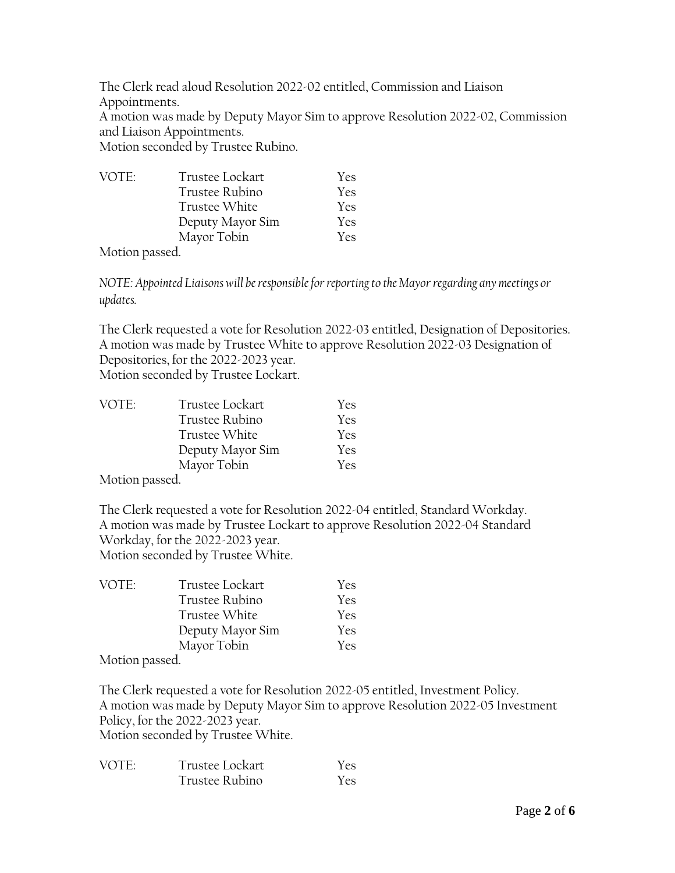The Clerk read aloud Resolution 2022-02 entitled, Commission and Liaison Appointments.

A motion was made by Deputy Mayor Sim to approve Resolution 2022-02, Commission and Liaison Appointments.

Motion seconded by Trustee Rubino.

| VOTE:                | Trustee Lockart  | Yes |
|----------------------|------------------|-----|
|                      | Trustee Rubino   | Yes |
|                      | Trustee White    | Yes |
|                      | Deputy Mayor Sim | Yes |
|                      | Mayor Tobin      | Yes |
| $\sim$ $\sim$ $\sim$ |                  |     |

Motion passed.

*NOTE: Appointed Liaisons will be responsible for reporting to the Mayor regarding any meetings or updates.*

The Clerk requested a vote for Resolution 2022-03 entitled, Designation of Depositories. A motion was made by Trustee White to approve Resolution 2022-03 Designation of Depositories, for the 2022-2023 year.

Motion seconded by Trustee Lockart.

| VOTE:                                  | Trustee Lockart  | Yes. |
|----------------------------------------|------------------|------|
|                                        | Trustee Rubino   | Yes. |
|                                        | Trustee White    | Yes. |
|                                        | Deputy Mayor Sim | Yes. |
|                                        | Mayor Tobin      | Yes. |
| $\mathbf{v}$ . The set of $\mathbf{v}$ |                  |      |

Motion passed.

The Clerk requested a vote for Resolution 2022-04 entitled, Standard Workday. A motion was made by Trustee Lockart to approve Resolution 2022-04 Standard Workday, for the 2022-2023 year. Motion seconded by Trustee White.

| VOTE:    | Trustee Lockart  | <b>Yes</b> |
|----------|------------------|------------|
|          | Trustee Rubino   | Yes        |
|          | Trustee White    | <b>Yes</b> |
|          | Deputy Mayor Sim | Yes        |
|          | Mayor Tobin      | Yes        |
| $\cdots$ |                  |            |

Motion passed.

The Clerk requested a vote for Resolution 2022-05 entitled, Investment Policy. A motion was made by Deputy Mayor Sim to approve Resolution 2022-05 Investment Policy, for the 2022-2023 year. Motion seconded by Trustee White.

| VOTF <sup>.</sup> | Trustee Lockart | Yes.       |
|-------------------|-----------------|------------|
|                   | Trustee Rubino  | <b>Yes</b> |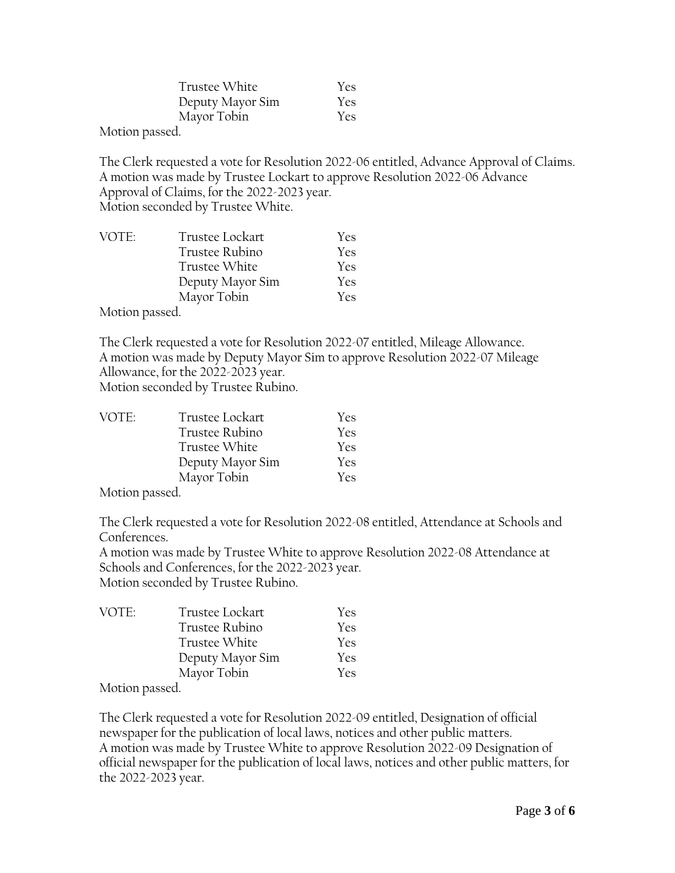| Trustee White    | Yes        |
|------------------|------------|
| Deputy Mayor Sim | Yes        |
| Mayor Tobin      | <b>Yes</b> |
|                  |            |

Motion passed.

The Clerk requested a vote for Resolution 2022-06 entitled, Advance Approval of Claims. A motion was made by Trustee Lockart to approve Resolution 2022-06 Advance Approval of Claims, for the 2022-2023 year. Motion seconded by Trustee White.

| VOTE:     | Trustee Lockart  | Yes        |
|-----------|------------------|------------|
|           | Trustee Rubino   | Yes        |
|           | Trustee White    | Yes        |
|           | Deputy Mayor Sim | Yes        |
|           | Mayor Tobin      | <b>Yes</b> |
| $M - 1$ 1 |                  |            |

Motion passed.

The Clerk requested a vote for Resolution 2022-07 entitled, Mileage Allowance. A motion was made by Deputy Mayor Sim to approve Resolution 2022-07 Mileage Allowance, for the 2022-2023 year.

Motion seconded by Trustee Rubino.

| VOTE: | Trustee Lockart  | Yes        |
|-------|------------------|------------|
|       | Trustee Rubino   | Yes        |
|       | Trustee White    | <b>Yes</b> |
|       | Deputy Mayor Sim | Yes        |
|       | Mayor Tobin      | <b>Yes</b> |
|       |                  |            |

Motion passed.

The Clerk requested a vote for Resolution 2022-08 entitled, Attendance at Schools and Conferences.

A motion was made by Trustee White to approve Resolution 2022-08 Attendance at Schools and Conferences, for the 2022-2023 year. Motion seconded by Trustee Rubino.

| VOTE:    | Trustee Lockart  | Yes        |
|----------|------------------|------------|
|          | Trustee Rubino   | Yes        |
|          | Trustee White    | Yes        |
|          | Deputy Mayor Sim | <b>Yes</b> |
|          | Mayor Tobin      | <b>Yes</b> |
| $\cdots$ |                  |            |

Motion passed.

The Clerk requested a vote for Resolution 2022-09 entitled, Designation of official newspaper for the publication of local laws, notices and other public matters. A motion was made by Trustee White to approve Resolution 2022-09 Designation of official newspaper for the publication of local laws, notices and other public matters, for the 2022-2023 year.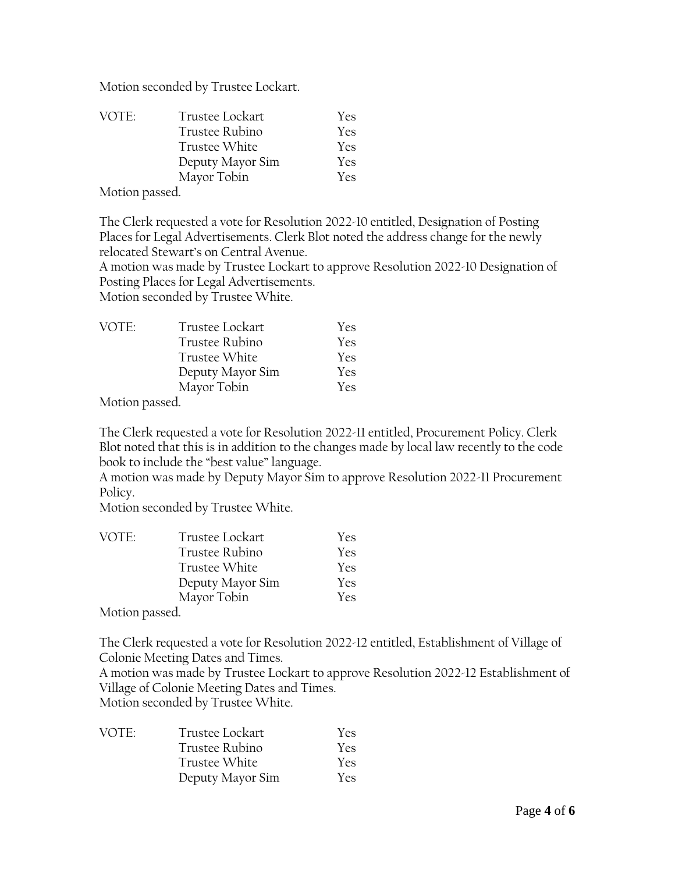Motion seconded by Trustee Lockart.

| VOTE:        | Trustee Lockart  | <b>Yes</b> |
|--------------|------------------|------------|
|              | Trustee Rubino   | Yes        |
|              | Trustee White    | <b>Yes</b> |
|              | Deputy Mayor Sim | Yes        |
|              | Mayor Tobin      | <b>Yes</b> |
| $\mathbf{v}$ |                  |            |

Motion passed.

The Clerk requested a vote for Resolution 2022-10 entitled, Designation of Posting Places for Legal Advertisements. Clerk Blot noted the address change for the newly relocated Stewart's on Central Avenue.

A motion was made by Trustee Lockart to approve Resolution 2022-10 Designation of Posting Places for Legal Advertisements.

Motion seconded by Trustee White.

| VOTE: | Trustee Lockart  | <b>Yes</b> |
|-------|------------------|------------|
|       | Trustee Rubino   | Yes.       |
|       | Trustee White    | Yes        |
|       | Deputy Mayor Sim | Yes        |
|       | Mayor Tobin      | Yes.       |
|       |                  |            |

Motion passed.

The Clerk requested a vote for Resolution 2022-11 entitled, Procurement Policy. Clerk Blot noted that this is in addition to the changes made by local law recently to the code book to include the "best value" language.

A motion was made by Deputy Mayor Sim to approve Resolution 2022-11 Procurement Policy.

Motion seconded by Trustee White.

| VOTE:                     | Trustee Lockart  | Yes |
|---------------------------|------------------|-----|
|                           | Trustee Rubino   | Yes |
|                           | Trustee White    | Yes |
|                           | Deputy Mayor Sim | Yes |
|                           | Mayor Tobin      | Yes |
| $\mathbf{X}$ $\mathbf{X}$ |                  |     |

Motion passed.

The Clerk requested a vote for Resolution 2022-12 entitled, Establishment of Village of Colonie Meeting Dates and Times.

A motion was made by Trustee Lockart to approve Resolution 2022-12 Establishment of Village of Colonie Meeting Dates and Times.

Motion seconded by Trustee White.

| VOTE: | Trustee Lockart  | <b>Yes</b> |
|-------|------------------|------------|
|       | Trustee Rubino   | Yes.       |
|       | Trustee White    | Yes.       |
|       | Deputy Mayor Sim | Yes.       |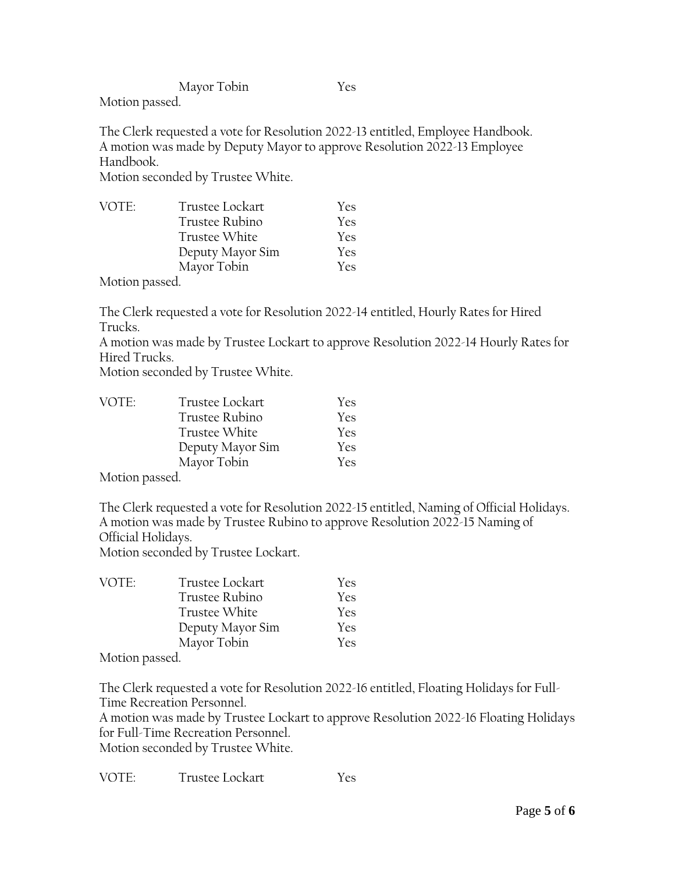Mayor Tobin Yes

Motion passed.

The Clerk requested a vote for Resolution 2022-13 entitled, Employee Handbook. A motion was made by Deputy Mayor to approve Resolution 2022-13 Employee Handbook.

Motion seconded by Trustee White.

| VOTE:        | Trustee Lockart  | <b>Yes</b> |
|--------------|------------------|------------|
|              | Trustee Rubino   | <b>Yes</b> |
|              | Trustee White    | <b>Yes</b> |
|              | Deputy Mayor Sim | <b>Yes</b> |
|              | Mayor Tobin      | <b>Yes</b> |
| $\mathbf{v}$ |                  |            |

Motion passed.

The Clerk requested a vote for Resolution 2022-14 entitled, Hourly Rates for Hired Trucks.

A motion was made by Trustee Lockart to approve Resolution 2022-14 Hourly Rates for Hired Trucks.

Motion seconded by Trustee White.

| VOTE: | Trustee Lockart  | Yes        |
|-------|------------------|------------|
|       | Trustee Rubino   | Yes        |
|       | Trustee White    | <b>Yes</b> |
|       | Deputy Mayor Sim | Yes        |
|       | Mayor Tobin      | Yes        |

Motion passed.

The Clerk requested a vote for Resolution 2022-15 entitled, Naming of Official Holidays. A motion was made by Trustee Rubino to approve Resolution 2022-15 Naming of Official Holidays.

Motion seconded by Trustee Lockart.

| Yes        |
|------------|
| Yes        |
| <b>Yes</b> |
| Yes        |
| <b>Yes</b> |
|            |

Motion passed.

The Clerk requested a vote for Resolution 2022-16 entitled, Floating Holidays for Full-Time Recreation Personnel.

A motion was made by Trustee Lockart to approve Resolution 2022-16 Floating Holidays for Full-Time Recreation Personnel.

Motion seconded by Trustee White.